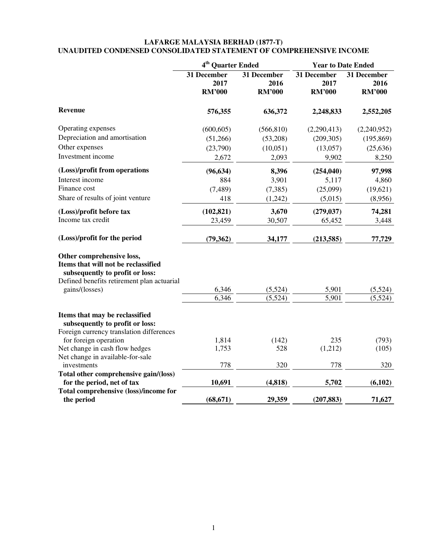#### **LAFARGE MALAYSIA BERHAD (1877-T) UNAUDITED CONDENSED CONSOLIDATED STATEMENT OF COMPREHENSIVE INCOME**

|                                                                                                                                                                     | 4 <sup>th</sup> Quarter Ended        |                                      | <b>Year to Date Ended</b>            |                                      |  |
|---------------------------------------------------------------------------------------------------------------------------------------------------------------------|--------------------------------------|--------------------------------------|--------------------------------------|--------------------------------------|--|
|                                                                                                                                                                     | 31 December<br>2017<br><b>RM'000</b> | 31 December<br>2016<br><b>RM'000</b> | 31 December<br>2017<br><b>RM'000</b> | 31 December<br>2016<br><b>RM'000</b> |  |
| Revenue                                                                                                                                                             | 576,355                              | 636,372                              | 2,248,833                            | 2,552,205                            |  |
| Operating expenses                                                                                                                                                  | (600, 605)                           | (566, 810)                           | (2,290,413)                          | (2,240,952)                          |  |
| Depreciation and amortisation                                                                                                                                       | (51,266)                             | (53,208)                             | (209, 305)                           | (195, 869)                           |  |
| Other expenses                                                                                                                                                      | (23,790)                             | (10,051)                             | (13,057)                             | (25, 636)                            |  |
| Investment income                                                                                                                                                   | 2,672                                | 2,093                                | 9,902                                | 8,250                                |  |
| (Loss)/profit from operations                                                                                                                                       | (96, 634)                            | 8,396                                | (254, 040)                           | 97,998                               |  |
| Interest income                                                                                                                                                     | 884                                  | 3,901                                | 5,117                                | 4,860                                |  |
| Finance cost                                                                                                                                                        | (7, 489)                             | (7, 385)                             | (25,099)                             | (19,621)                             |  |
| Share of results of joint venture                                                                                                                                   | 418                                  | (1,242)                              | (5,015)                              | (8,956)                              |  |
| (Loss)/profit before tax                                                                                                                                            | (102, 821)                           | 3,670                                | (279, 037)                           | 74,281                               |  |
| Income tax credit                                                                                                                                                   | 23,459                               | 30,507                               | 65,452                               | 3,448                                |  |
| (Loss)/profit for the period                                                                                                                                        | (79, 362)                            | 34,177                               | (213, 585)                           | 77,729                               |  |
| Other comprehensive loss,<br>Items that will not be reclassified<br>subsequently to profit or loss:<br>Defined benefits retirement plan actuarial<br>gains/(losses) | 6,346<br>6,346                       | (5,524)<br>(5,524)                   | 5,901<br>5,901                       | (5,524)<br>(5,524)                   |  |
| Items that may be reclassified<br>subsequently to profit or loss:<br>Foreign currency translation differences                                                       |                                      |                                      |                                      |                                      |  |
| for foreign operation                                                                                                                                               | 1,814                                | (142)                                | 235                                  | (793)                                |  |
| Net change in cash flow hedges                                                                                                                                      | 1,753                                | 528                                  | (1,212)                              | (105)                                |  |
| Net change in available-for-sale                                                                                                                                    |                                      |                                      |                                      |                                      |  |
| investments                                                                                                                                                         | 778                                  | 320                                  | 778                                  | 320                                  |  |
| Total other comprehensive gain/(loss)                                                                                                                               |                                      |                                      |                                      |                                      |  |
| for the period, net of tax                                                                                                                                          | 10,691                               | (4, 818)                             | 5,702                                | (6,102)                              |  |
| Total comprehensive (loss)/income for<br>the period                                                                                                                 | (68, 671)                            | 29,359                               | (207, 883)                           | 71,627                               |  |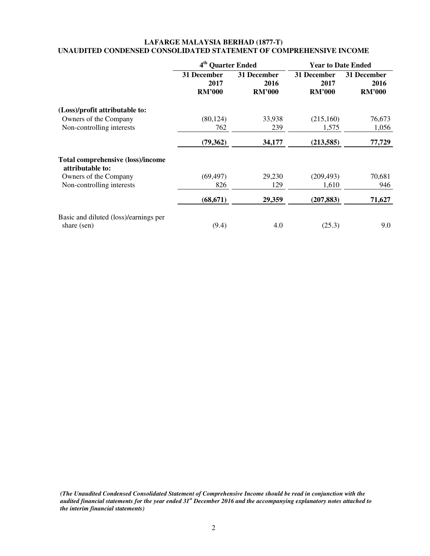## **LAFARGE MALAYSIA BERHAD (1877-T) UNAUDITED CONDENSED CONSOLIDATED STATEMENT OF COMPREHENSIVE INCOME**

|                                                              | 4 <sup>th</sup> Quarter Ended        |                                      | <b>Year to Date Ended</b>            |                                      |  |
|--------------------------------------------------------------|--------------------------------------|--------------------------------------|--------------------------------------|--------------------------------------|--|
|                                                              | 31 December<br>2017<br><b>RM'000</b> | 31 December<br>2016<br><b>RM'000</b> | 31 December<br>2017<br><b>RM'000</b> | 31 December<br>2016<br><b>RM'000</b> |  |
| (Loss)/profit attributable to:                               |                                      |                                      |                                      |                                      |  |
| Owners of the Company                                        | (80, 124)                            | 33,938                               | (215,160)                            | 76,673                               |  |
| Non-controlling interests                                    | 762                                  | 239                                  | 1,575                                | 1,056                                |  |
|                                                              | (79,362)                             | 34,177                               | (213, 585)                           | 77,729                               |  |
| <b>Total comprehensive (loss)/income</b><br>attributable to: |                                      |                                      |                                      |                                      |  |
| Owners of the Company                                        | (69, 497)                            | 29,230                               | (209, 493)                           | 70,681                               |  |
| Non-controlling interests                                    | 826                                  | 129                                  | 1,610                                | 946                                  |  |
|                                                              | (68, 671)                            | 29,359                               | (207, 883)                           | 71,627                               |  |
| Basic and diluted (loss)/earnings per<br>share (sen)         | (9.4)                                | 4.0                                  | (25.3)                               | 9.0                                  |  |

*(The Unaudited Condensed Consolidated Statement of Comprehensive Income should be read in conjunction with the audited financial statements for the year ended 31st December 2016 and the accompanying explanatory notes attached to the interim financial statements)*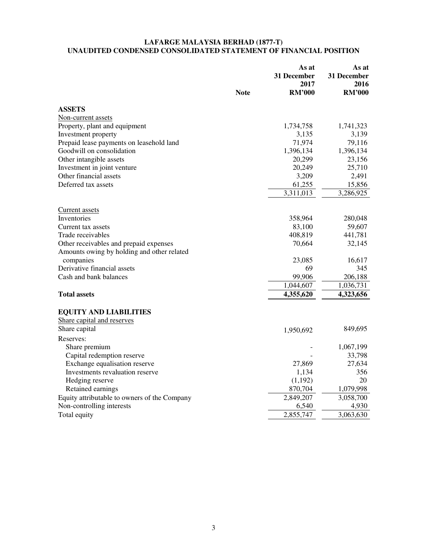#### **LAFARGE MALAYSIA BERHAD (1877-T) UNAUDITED CONDENSED CONSOLIDATED STATEMENT OF FINANCIAL POSITION**

|                                              | <b>Note</b> | As at<br><b>31 December</b><br>2017<br><b>RM'000</b> | As at<br>31 December<br>2016<br><b>RM'000</b> |
|----------------------------------------------|-------------|------------------------------------------------------|-----------------------------------------------|
| <b>ASSETS</b>                                |             |                                                      |                                               |
| Non-current assets                           |             |                                                      |                                               |
| Property, plant and equipment                |             | 1,734,758                                            | 1,741,323                                     |
| Investment property                          |             | 3,135                                                | 3,139                                         |
| Prepaid lease payments on leasehold land     |             | 71,974                                               | 79,116                                        |
| Goodwill on consolidation                    |             | 1,396,134                                            | 1,396,134                                     |
| Other intangible assets                      |             | 20,299                                               | 23,156                                        |
| Investment in joint venture                  |             | 20,249                                               | 25,710                                        |
| Other financial assets                       |             | 3,209                                                | 2,491                                         |
| Deferred tax assets                          |             | 61,255                                               | 15,856                                        |
|                                              |             | 3,311,013                                            | 3,286,925                                     |
| <b>Current</b> assets                        |             |                                                      |                                               |
| Inventories                                  |             | 358,964                                              | 280,048                                       |
| Current tax assets                           |             | 83,100                                               | 59,607                                        |
| Trade receivables                            |             | 408,819                                              | 441,781                                       |
| Other receivables and prepaid expenses       |             | 70,664                                               | 32,145                                        |
| Amounts owing by holding and other related   |             |                                                      |                                               |
| companies                                    |             | 23,085                                               | 16,617                                        |
| Derivative financial assets                  |             | 69                                                   | 345                                           |
| Cash and bank balances                       |             | 99,906                                               | 206,188                                       |
|                                              |             | 1,044,607                                            | 1,036,731                                     |
| <b>Total assets</b>                          |             | 4,355,620                                            | 4,323,656                                     |
| <b>EQUITY AND LIABILITIES</b>                |             |                                                      |                                               |
| Share capital and reserves                   |             |                                                      |                                               |
| Share capital                                |             | 1,950,692                                            | 849,695                                       |
| Reserves:                                    |             |                                                      |                                               |
| Share premium                                |             |                                                      | 1,067,199                                     |
| Capital redemption reserve                   |             |                                                      | 33,798                                        |
| Exchange equalisation reserve                |             | 27,869                                               | 27,634                                        |
| Investments revaluation reserve              |             | 1,134                                                | 356                                           |
| Hedging reserve                              |             | (1, 192)                                             | 20                                            |
| Retained earnings                            |             | 870,704                                              | 1,079,998                                     |
| Equity attributable to owners of the Company |             | 2,849,207                                            | 3,058,700                                     |
| Non-controlling interests                    |             | 6,540                                                | 4,930                                         |
| Total equity                                 |             | 2,855,747                                            | 3,063,630                                     |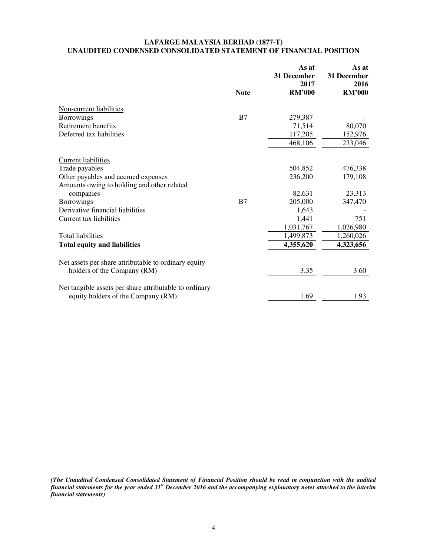## **LAFARGE MALAYSIA BERHAD (1877-T) UNAUDITED CONDENSED CONSOLIDATED STATEMENT OF FINANCIAL POSITION**

|                                                        |             | As at<br>31 December<br>2017 | As at<br>31 December<br>2016 |
|--------------------------------------------------------|-------------|------------------------------|------------------------------|
|                                                        | <b>Note</b> | <b>RM'000</b>                | <b>RM'000</b>                |
| Non-current liabilities                                |             |                              |                              |
| <b>Borrowings</b>                                      | B7          | 279,387                      |                              |
| Retirement benefits                                    |             | 71,514                       | 80,070                       |
| Deferred tax liabilities                               |             | 117,205                      | 152,976                      |
|                                                        |             | 468,106                      | 233,046                      |
| <b>Current liabilities</b>                             |             |                              |                              |
| Trade payables                                         |             | 504,852                      | 476,338                      |
| Other payables and accrued expenses                    |             | 236,200                      | 179,108                      |
| Amounts owing to holding and other related             |             |                              |                              |
| companies                                              |             | 82,631                       | 23,313                       |
| <b>Borrowings</b>                                      | B7          | 205,000                      | 347,470                      |
| Derivative financial liabilities                       |             | 1,643                        |                              |
| Current tax liabilities                                |             | 1,441                        | 751                          |
|                                                        |             | 1,031,767                    | 1,026,980                    |
| <b>Total liabilities</b>                               |             | 1,499,873                    | 1,260,026                    |
| <b>Total equity and liabilities</b>                    |             | 4,355,620                    | 4,323,656                    |
| Net assets per share attributable to ordinary equity   |             |                              |                              |
| holders of the Company (RM)                            |             | 3.35                         | 3.60                         |
| Net tangible assets per share attributable to ordinary |             |                              |                              |
| equity holders of the Company (RM)                     |             | 1.69                         | 1.93                         |

*(The Unaudited Condensed Consolidated Statement of Financial Position should be read in conjunction with the audited financial statements for the year ended 31st December 2016 and the accompanying explanatory notes attached to the interim financial statements)*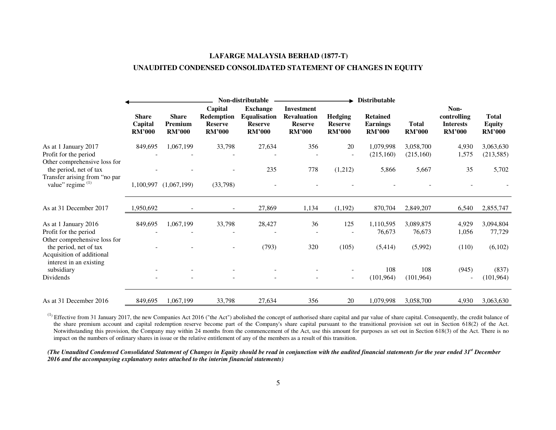# **LAFARGE MALAYSIA BERHAD (1877-T) UNAUDITED CONDENSED CONSOLIDATED STATEMENT OF CHANGES IN EQUITY**

|                                                                                                                |                                          |                                          |                                                                 | Non-distributable                                                         |                                                                            |                                                   | <b>Distributable</b>                                |                               |                                                          |                                                |
|----------------------------------------------------------------------------------------------------------------|------------------------------------------|------------------------------------------|-----------------------------------------------------------------|---------------------------------------------------------------------------|----------------------------------------------------------------------------|---------------------------------------------------|-----------------------------------------------------|-------------------------------|----------------------------------------------------------|------------------------------------------------|
|                                                                                                                | <b>Share</b><br>Capital<br><b>RM'000</b> | <b>Share</b><br>Premium<br><b>RM'000</b> | Capital<br><b>Redemption</b><br><b>Reserve</b><br><b>RM'000</b> | <b>Exchange</b><br><b>Equalisation</b><br><b>Reserve</b><br><b>RM'000</b> | <b>Investment</b><br><b>Revaluation</b><br><b>Reserve</b><br><b>RM'000</b> | <b>Hedging</b><br><b>Reserve</b><br><b>RM'000</b> | <b>Retained</b><br><b>Earnings</b><br><b>RM'000</b> | <b>Total</b><br><b>RM'000</b> | Non-<br>controlling<br><b>Interests</b><br><b>RM'000</b> | <b>Total</b><br><b>Equity</b><br><b>RM'000</b> |
| As at 1 January 2017<br>Profit for the period<br>Other comprehensive loss for                                  | 849,695                                  | 1,067,199                                | 33,798                                                          | 27,634                                                                    | 356                                                                        | 20                                                | 1,079,998<br>(215,160)                              | 3,058,700<br>(215,160)        | 4,930<br>1,575                                           | 3,063,630<br>(213,585)                         |
| the period, net of tax<br>Transfer arising from "no par<br>value" regime $(1)$                                 |                                          | 1,100,997 (1,067,199)                    | (33,798)                                                        | 235                                                                       | 778                                                                        | (1,212)                                           | 5,866                                               | 5,667                         | 35                                                       | 5,702                                          |
| As at 31 December 2017                                                                                         | 1,950,692                                |                                          | $\overline{\phantom{a}}$                                        | 27,869                                                                    | 1,134                                                                      | (1,192)                                           | 870,704                                             | 2,849,207                     | 6,540                                                    | 2,855,747                                      |
| As at 1 January 2016<br>Profit for the period                                                                  | 849,695                                  | 1,067,199                                | 33,798                                                          | 28,427                                                                    | 36                                                                         | 125                                               | 1,110,595<br>76,673                                 | 3,089,875<br>76,673           | 4,929<br>1,056                                           | 3,094,804<br>77,729                            |
| Other comprehensive loss for<br>the period, net of tax<br>Acquisition of additional<br>interest in an existing |                                          |                                          |                                                                 | (793)                                                                     | 320                                                                        | (105)                                             | (5,414)                                             | (5,992)                       | (110)                                                    | (6,102)                                        |
| subsidiary<br>Dividends                                                                                        |                                          |                                          |                                                                 |                                                                           |                                                                            | $\overline{\phantom{a}}$                          | 108<br>(101, 964)                                   | 108<br>(101, 964)             | (945)<br>$\blacksquare$                                  | (837)<br>(101, 964)                            |
| As at 31 December 2016                                                                                         | 849,695                                  | 1,067,199                                | 33,798                                                          | 27,634                                                                    | 356                                                                        | 20                                                | 1,079,998                                           | 3,058,700                     | 4,930                                                    | 3,063,630                                      |

 $<sup>(1)</sup>$  Effective from 31 January 2017, the new Companies Act 2016 ("the Act") abolished the concept of authorised share capital and par value of share capital. Consequently, the credit balance of</sup> the share premium account and capital redemption reserve become part of the Company's share capital pursuant to the transitional provision set out in Section 618(2) of the Act. Notwithstanding this provision, the Company may within 24 months from the commencement of the Act, use this amount for purposes as set out in Section 618(3) of the Act. There is no impact on the numbers of ordinary shares in issue or the relative entitlement of any of the members as a result of this transition.

*(The Unaudited Condensed Consolidated Statement of Changes in Equity should be read in conjunction with the audited financial statements for the year ended 31st December 2016 and the accompanying explanatory notes attached to the interim financial statements)*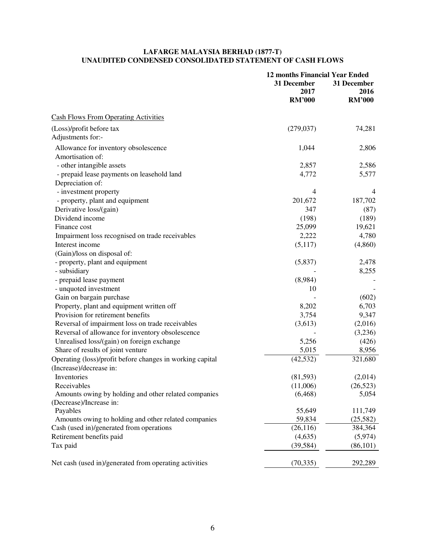## **LAFARGE MALAYSIA BERHAD (1877-T) UNAUDITED CONDENSED CONSOLIDATED STATEMENT OF CASH FLOWS**

|                                                           | <b>12 months Financial Year Ended</b> |                |  |
|-----------------------------------------------------------|---------------------------------------|----------------|--|
|                                                           | 31 December<br>31 December            |                |  |
|                                                           | 2017                                  | 2016           |  |
|                                                           | <b>RM'000</b>                         | <b>RM'000</b>  |  |
| <b>Cash Flows From Operating Activities</b>               |                                       |                |  |
| (Loss)/profit before tax                                  | (279, 037)                            | 74,281         |  |
| Adjustments for:-                                         |                                       |                |  |
| Allowance for inventory obsolescence                      | 1,044                                 | 2,806          |  |
| Amortisation of:                                          |                                       |                |  |
| - other intangible assets                                 | 2,857                                 | 2,586          |  |
| - prepaid lease payments on leasehold land                | 4,772                                 | 5,577          |  |
| Depreciation of:                                          |                                       |                |  |
| - investment property                                     | 4                                     | $\overline{4}$ |  |
| - property, plant and equipment                           | 201,672                               | 187,702        |  |
| Derivative loss/(gain)                                    | 347                                   | (87)           |  |
| Dividend income                                           | (198)                                 | (189)          |  |
| Finance cost                                              | 25,099                                | 19,621         |  |
| Impairment loss recognised on trade receivables           | 2,222                                 | 4,780          |  |
| Interest income                                           | (5,117)                               | (4,860)        |  |
| (Gain)/loss on disposal of:                               |                                       |                |  |
| - property, plant and equipment                           | (5,837)                               | 2,478          |  |
| - subsidiary                                              |                                       | 8,255          |  |
| - prepaid lease payment                                   | (8,984)                               |                |  |
| - unquoted investment                                     | 10                                    |                |  |
| Gain on bargain purchase                                  |                                       | (602)          |  |
| Property, plant and equipment written off                 | 8,202                                 | 6,703          |  |
| Provision for retirement benefits                         | 3,754                                 | 9,347          |  |
| Reversal of impairment loss on trade receivables          | (3,613)                               | (2,016)        |  |
| Reversal of allowance for inventory obsolescence          |                                       | (3,236)        |  |
| Unrealised loss/(gain) on foreign exchange                | 5,256                                 | (426)          |  |
| Share of results of joint venture                         | 5,015                                 | 8,956          |  |
| Operating (loss)/profit before changes in working capital | (42, 532)                             | 321,680        |  |
| (Increase)/decrease in:                                   |                                       |                |  |
| Inventories                                               | (81,593)                              | (2,014)        |  |
| Receivables                                               | (11,006)                              | (26, 523)      |  |
| Amounts owing by holding and other related companies      | (6, 468)                              | 5,054          |  |
| (Decrease)/Increase in:                                   |                                       |                |  |
| Payables                                                  | 55,649                                | 111,749        |  |
| Amounts owing to holding and other related companies      | 59,834                                | (25, 582)      |  |
| Cash (used in)/generated from operations                  | (26, 116)                             | 384,364        |  |
| Retirement benefits paid                                  | (4,635)                               | (5,974)        |  |
| Tax paid                                                  | (39, 584)                             | (86,101)       |  |
| Net cash (used in)/generated from operating activities    | (70, 335)                             | 292,289        |  |
|                                                           |                                       |                |  |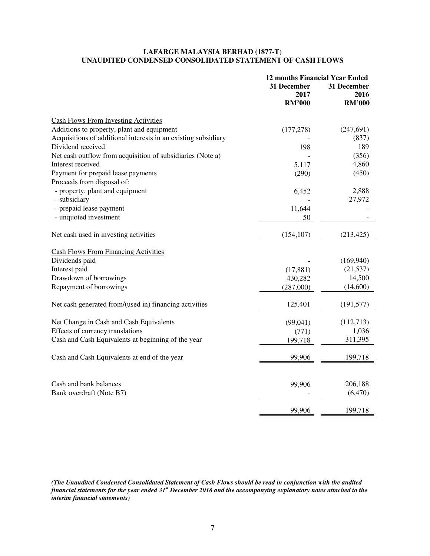## **LAFARGE MALAYSIA BERHAD (1877-T) UNAUDITED CONDENSED CONSOLIDATED STATEMENT OF CASH FLOWS**

|                                                                | <b>12 months Financial Year Ended</b> |                     |  |
|----------------------------------------------------------------|---------------------------------------|---------------------|--|
|                                                                | 31 December<br>2017                   | 31 December<br>2016 |  |
|                                                                | <b>RM'000</b>                         | <b>RM'000</b>       |  |
| <b>Cash Flows From Investing Activities</b>                    |                                       |                     |  |
| Additions to property, plant and equipment                     | (177, 278)                            | (247, 691)          |  |
| Acquisitions of additional interests in an existing subsidiary |                                       | (837)               |  |
| Dividend received                                              | 198                                   | 189                 |  |
| Net cash outflow from acquisition of subsidiaries (Note a)     |                                       | (356)               |  |
| Interest received                                              | 5,117                                 | 4,860               |  |
| Payment for prepaid lease payments                             | (290)                                 | (450)               |  |
| Proceeds from disposal of:                                     |                                       |                     |  |
| - property, plant and equipment                                | 6,452                                 | 2,888               |  |
| - subsidiary                                                   |                                       | 27,972              |  |
| - prepaid lease payment                                        | 11,644                                |                     |  |
| - unquoted investment                                          | 50                                    |                     |  |
| Net cash used in investing activities                          | (154, 107)                            | (213, 425)          |  |
| <b>Cash Flows From Financing Activities</b>                    |                                       |                     |  |
| Dividends paid                                                 |                                       | (169,940)           |  |
| Interest paid                                                  | (17, 881)                             | (21, 537)           |  |
| Drawdown of borrowings                                         | 430,282                               | 14,500              |  |
| Repayment of borrowings                                        | (287,000)                             | (14,600)            |  |
| Net cash generated from/(used in) financing activities         | 125,401                               | (191, 577)          |  |
| Net Change in Cash and Cash Equivalents                        | (99,041)                              | (112,713)           |  |
| Effects of currency translations                               | (771)                                 | 1,036               |  |
| Cash and Cash Equivalents at beginning of the year             | 199,718                               | 311,395             |  |
| Cash and Cash Equivalents at end of the year                   | 99,906                                | 199,718             |  |
|                                                                |                                       |                     |  |
| Cash and bank balances                                         | 99,906                                | 206,188             |  |
| Bank overdraft (Note B7)                                       |                                       | (6,470)             |  |
|                                                                | 99,906                                | 199,718             |  |

*(The Unaudited Condensed Consolidated Statement of Cash Flows should be read in conjunction with the audited financial statements for the year ended 31st December 2016 and the accompanying explanatory notes attached to the interim financial statements)*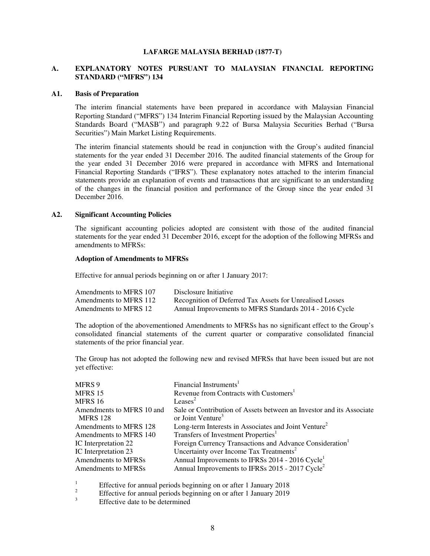#### **LAFARGE MALAYSIA BERHAD (1877-T)**

## **A. EXPLANATORY NOTES PURSUANT TO MALAYSIAN FINANCIAL REPORTING STANDARD ("MFRS") 134**

#### **A1. Basis of Preparation**

The interim financial statements have been prepared in accordance with Malaysian Financial Reporting Standard ("MFRS") 134 Interim Financial Reporting issued by the Malaysian Accounting Standards Board ("MASB") and paragraph 9.22 of Bursa Malaysia Securities Berhad ("Bursa Securities") Main Market Listing Requirements.

The interim financial statements should be read in conjunction with the Group's audited financial statements for the year ended 31 December 2016. The audited financial statements of the Group for the year ended 31 December 2016 were prepared in accordance with MFRS and International Financial Reporting Standards ("IFRS"). These explanatory notes attached to the interim financial statements provide an explanation of events and transactions that are significant to an understanding of the changes in the financial position and performance of the Group since the year ended 31 December 2016.

#### **A2. Significant Accounting Policies**

The significant accounting policies adopted are consistent with those of the audited financial statements for the year ended 31 December 2016, except for the adoption of the following MFRSs and amendments to MFRSs:

## **Adoption of Amendments to MFRSs**

Effective for annual periods beginning on or after 1 January 2017:

| Amendments to MFRS 107 | Disclosure Initiative                                    |
|------------------------|----------------------------------------------------------|
| Amendments to MFRS 112 | Recognition of Deferred Tax Assets for Unrealised Losses |
| Amendments to MFRS 12  | Annual Improvements to MFRS Standards 2014 - 2016 Cycle  |

The adoption of the abovementioned Amendments to MFRSs has no significant effect to the Group's consolidated financial statements of the current quarter or comparative consolidated financial statements of the prior financial year.

The Group has not adopted the following new and revised MFRSs that have been issued but are not yet effective:

| MFRS 9                                       | Financial Instruments <sup>1</sup>                                                                    |
|----------------------------------------------|-------------------------------------------------------------------------------------------------------|
| MFRS 15                                      | Revenue from Contracts with Customers <sup>1</sup>                                                    |
| MFRS 16                                      | Leases <sup>2</sup>                                                                                   |
| Amendments to MFRS 10 and<br><b>MFRS</b> 128 | Sale or Contribution of Assets between an Investor and its Associate<br>or Joint Venture <sup>3</sup> |
| Amendments to MFRS 128                       | Long-term Interests in Associates and Joint Venture <sup>2</sup>                                      |
| Amendments to MFRS 140                       | Transfers of Investment Properties <sup>1</sup>                                                       |
| IC Interpretation 22                         | Foreign Currency Transactions and Advance Consideration <sup>1</sup>                                  |
| IC Interpretation 23                         | Uncertainty over Income Tax Treatments <sup>2</sup>                                                   |
| Amendments to MFRSs                          | Annual Improvements to IFRSs 2014 - 2016 Cycle <sup>1</sup>                                           |
| Amendments to MFRSs                          | Annual Improvements to IFRSs 2015 - 2017 Cycle <sup>2</sup>                                           |

<sup>1</sup> Effective for annual periods beginning on or after 1 January 2018 2

Effective for annual periods beginning on or after 1 January 2019

Effective date to be determined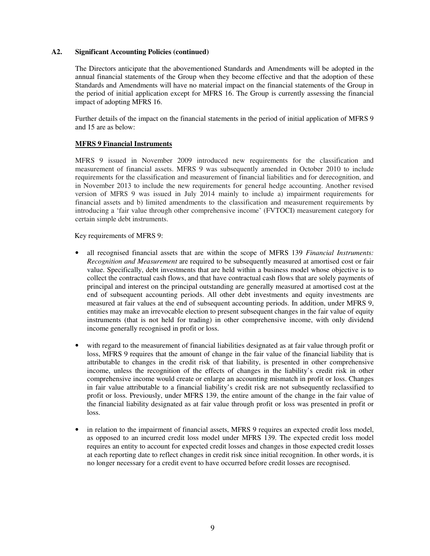The Directors anticipate that the abovementioned Standards and Amendments will be adopted in the annual financial statements of the Group when they become effective and that the adoption of these Standards and Amendments will have no material impact on the financial statements of the Group in the period of initial application except for MFRS 16. The Group is currently assessing the financial impact of adopting MFRS 16.

Further details of the impact on the financial statements in the period of initial application of MFRS 9 and 15 are as below:

#### **MFRS 9 Financial Instruments**

MFRS 9 issued in November 2009 introduced new requirements for the classification and measurement of financial assets. MFRS 9 was subsequently amended in October 2010 to include requirements for the classification and measurement of financial liabilities and for derecognition, and in November 2013 to include the new requirements for general hedge accounting. Another revised version of MFRS 9 was issued in July 2014 mainly to include a) impairment requirements for financial assets and b) limited amendments to the classification and measurement requirements by introducing a 'fair value through other comprehensive income' (FVTOCI) measurement category for certain simple debt instruments.

Key requirements of MFRS 9:

- all recognised financial assets that are within the scope of MFRS 139 *Financial Instruments: Recognition and Measurement* are required to be subsequently measured at amortised cost or fair value. Specifically, debt investments that are held within a business model whose objective is to collect the contractual cash flows, and that have contractual cash flows that are solely payments of principal and interest on the principal outstanding are generally measured at amortised cost at the end of subsequent accounting periods. All other debt investments and equity investments are measured at fair values at the end of subsequent accounting periods. In addition, under MFRS 9, entities may make an irrevocable election to present subsequent changes in the fair value of equity instruments (that is not held for trading) in other comprehensive income, with only dividend income generally recognised in profit or loss.
- with regard to the measurement of financial liabilities designated as at fair value through profit or loss, MFRS 9 requires that the amount of change in the fair value of the financial liability that is attributable to changes in the credit risk of that liability, is presented in other comprehensive income, unless the recognition of the effects of changes in the liability's credit risk in other comprehensive income would create or enlarge an accounting mismatch in profit or loss. Changes in fair value attributable to a financial liability's credit risk are not subsequently reclassified to profit or loss. Previously, under MFRS 139, the entire amount of the change in the fair value of the financial liability designated as at fair value through profit or loss was presented in profit or loss.
- in relation to the impairment of financial assets, MFRS 9 requires an expected credit loss model, as opposed to an incurred credit loss model under MFRS 139. The expected credit loss model requires an entity to account for expected credit losses and changes in those expected credit losses at each reporting date to reflect changes in credit risk since initial recognition. In other words, it is no longer necessary for a credit event to have occurred before credit losses are recognised.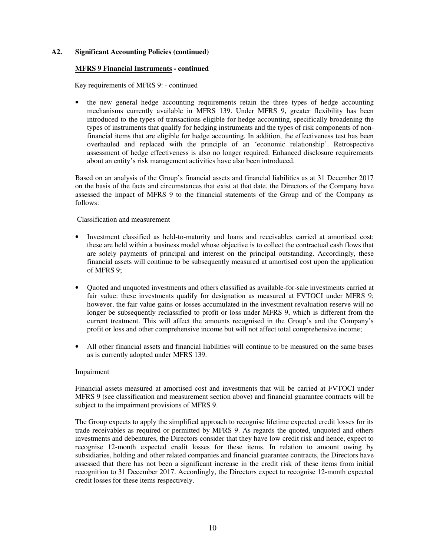### **MFRS 9 Financial Instruments - continued**

Key requirements of MFRS 9: - continued

• the new general hedge accounting requirements retain the three types of hedge accounting mechanisms currently available in MFRS 139. Under MFRS 9, greater flexibility has been introduced to the types of transactions eligible for hedge accounting, specifically broadening the types of instruments that qualify for hedging instruments and the types of risk components of nonfinancial items that are eligible for hedge accounting. In addition, the effectiveness test has been overhauled and replaced with the principle of an 'economic relationship'. Retrospective assessment of hedge effectiveness is also no longer required. Enhanced disclosure requirements about an entity's risk management activities have also been introduced.

Based on an analysis of the Group's financial assets and financial liabilities as at 31 December 2017 on the basis of the facts and circumstances that exist at that date, the Directors of the Company have assessed the impact of MFRS 9 to the financial statements of the Group and of the Company as follows:

#### Classification and measurement

- Investment classified as held-to-maturity and loans and receivables carried at amortised cost: these are held within a business model whose objective is to collect the contractual cash flows that are solely payments of principal and interest on the principal outstanding. Accordingly, these financial assets will continue to be subsequently measured at amortised cost upon the application of MFRS 9;
- Quoted and unquoted investments and others classified as available-for-sale investments carried at fair value: these investments qualify for designation as measured at FVTOCI under MFRS 9; however, the fair value gains or losses accumulated in the investment revaluation reserve will no longer be subsequently reclassified to profit or loss under MFRS 9, which is different from the current treatment. This will affect the amounts recognised in the Group's and the Company's profit or loss and other comprehensive income but will not affect total comprehensive income;
- All other financial assets and financial liabilities will continue to be measured on the same bases as is currently adopted under MFRS 139.

#### Impairment

Financial assets measured at amortised cost and investments that will be carried at FVTOCI under MFRS 9 (see classification and measurement section above) and financial guarantee contracts will be subject to the impairment provisions of MFRS 9.

The Group expects to apply the simplified approach to recognise lifetime expected credit losses for its trade receivables as required or permitted by MFRS 9. As regards the quoted, unquoted and others investments and debentures, the Directors consider that they have low credit risk and hence, expect to recognise 12-month expected credit losses for these items. In relation to amount owing by subsidiaries, holding and other related companies and financial guarantee contracts, the Directors have assessed that there has not been a significant increase in the credit risk of these items from initial recognition to 31 December 2017. Accordingly, the Directors expect to recognise 12-month expected credit losses for these items respectively.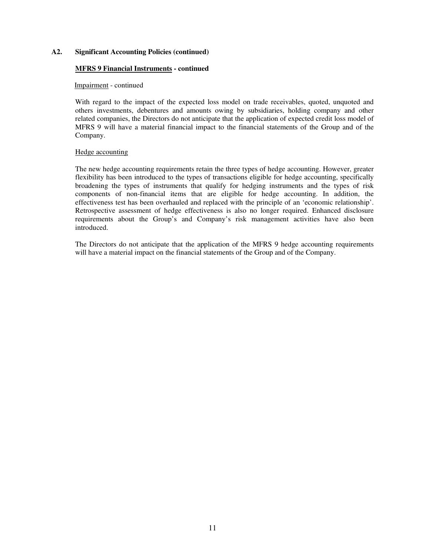## **MFRS 9 Financial Instruments - continued**

## Impairment - continued

With regard to the impact of the expected loss model on trade receivables, quoted, unquoted and others investments, debentures and amounts owing by subsidiaries, holding company and other related companies, the Directors do not anticipate that the application of expected credit loss model of MFRS 9 will have a material financial impact to the financial statements of the Group and of the Company.

#### Hedge accounting

The new hedge accounting requirements retain the three types of hedge accounting. However, greater flexibility has been introduced to the types of transactions eligible for hedge accounting, specifically broadening the types of instruments that qualify for hedging instruments and the types of risk components of non-financial items that are eligible for hedge accounting. In addition, the effectiveness test has been overhauled and replaced with the principle of an 'economic relationship'. Retrospective assessment of hedge effectiveness is also no longer required. Enhanced disclosure requirements about the Group's and Company's risk management activities have also been introduced.

The Directors do not anticipate that the application of the MFRS 9 hedge accounting requirements will have a material impact on the financial statements of the Group and of the Company.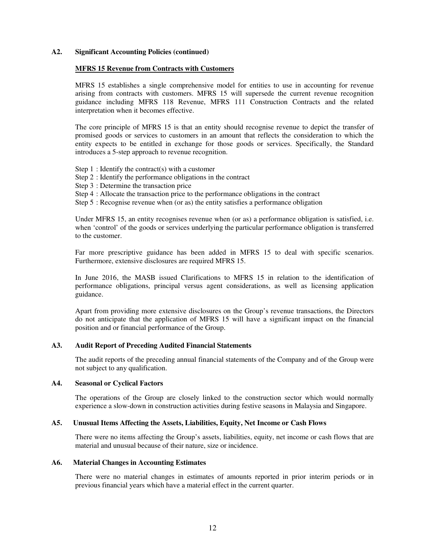#### **MFRS 15 Revenue from Contracts with Customers**

MFRS 15 establishes a single comprehensive model for entities to use in accounting for revenue arising from contracts with customers. MFRS 15 will supersede the current revenue recognition guidance including MFRS 118 Revenue, MFRS 111 Construction Contracts and the related interpretation when it becomes effective.

The core principle of MFRS 15 is that an entity should recognise revenue to depict the transfer of promised goods or services to customers in an amount that reflects the consideration to which the entity expects to be entitled in exchange for those goods or services. Specifically, the Standard introduces a 5-step approach to revenue recognition.

- Step 1 : Identify the contract(s) with a customer
- Step 2 : Identify the performance obligations in the contract
- Step 3 : Determine the transaction price
- Step 4 : Allocate the transaction price to the performance obligations in the contract
- Step 5 : Recognise revenue when (or as) the entity satisfies a performance obligation

Under MFRS 15, an entity recognises revenue when (or as) a performance obligation is satisfied, i.e. when 'control' of the goods or services underlying the particular performance obligation is transferred to the customer.

Far more prescriptive guidance has been added in MFRS 15 to deal with specific scenarios. Furthermore, extensive disclosures are required MFRS 15.

In June 2016, the MASB issued Clarifications to MFRS 15 in relation to the identification of performance obligations, principal versus agent considerations, as well as licensing application guidance.

Apart from providing more extensive disclosures on the Group's revenue transactions, the Directors do not anticipate that the application of MFRS 15 will have a significant impact on the financial position and or financial performance of the Group.

## **A3. Audit Report of Preceding Audited Financial Statements**

The audit reports of the preceding annual financial statements of the Company and of the Group were not subject to any qualification.

#### **A4. Seasonal or Cyclical Factors**

The operations of the Group are closely linked to the construction sector which would normally experience a slow-down in construction activities during festive seasons in Malaysia and Singapore.

## **A5. Unusual Items Affecting the Assets, Liabilities, Equity, Net Income or Cash Flows**

There were no items affecting the Group's assets, liabilities, equity, net income or cash flows that are material and unusual because of their nature, size or incidence.

#### **A6. Material Changes in Accounting Estimates**

There were no material changes in estimates of amounts reported in prior interim periods or in previous financial years which have a material effect in the current quarter.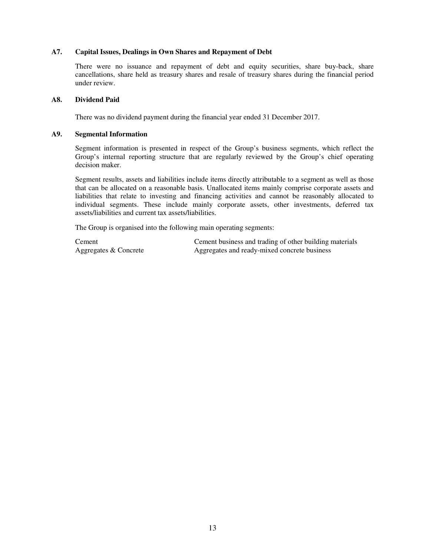## **A7. Capital Issues, Dealings in Own Shares and Repayment of Debt**

There were no issuance and repayment of debt and equity securities, share buy-back, share cancellations, share held as treasury shares and resale of treasury shares during the financial period under review.

## **A8. Dividend Paid**

There was no dividend payment during the financial year ended 31 December 2017.

## **A9. Segmental Information**

Segment information is presented in respect of the Group's business segments, which reflect the Group's internal reporting structure that are regularly reviewed by the Group's chief operating decision maker.

Segment results, assets and liabilities include items directly attributable to a segment as well as those that can be allocated on a reasonable basis. Unallocated items mainly comprise corporate assets and liabilities that relate to investing and financing activities and cannot be reasonably allocated to individual segments. These include mainly corporate assets, other investments, deferred tax assets/liabilities and current tax assets/liabilities.

The Group is organised into the following main operating segments:

Cement Cement business and trading of other building materials Aggregates & Concrete **Aggregates and ready-mixed concrete business**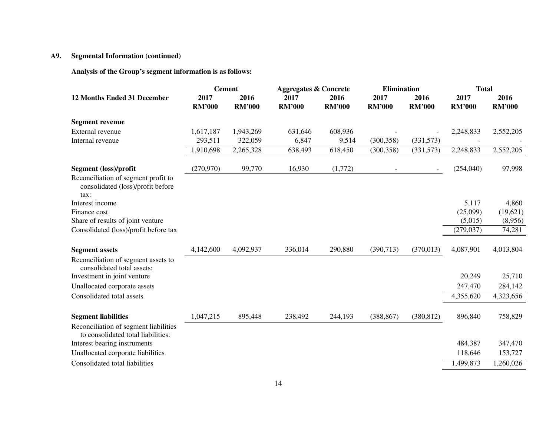# **A9. Segmental Information (continued)**

**Analysis of the Group's segment information is as follows:** 

|                                                                                  | <b>Cement</b>         |                       | <b>Aggregates &amp; Concrete</b> |                       | <b>Elimination</b>    |                       | <b>Total</b>          |                       |
|----------------------------------------------------------------------------------|-----------------------|-----------------------|----------------------------------|-----------------------|-----------------------|-----------------------|-----------------------|-----------------------|
| <b>12 Months Ended 31 December</b>                                               | 2017<br><b>RM'000</b> | 2016<br><b>RM'000</b> | 2017<br><b>RM'000</b>            | 2016<br><b>RM'000</b> | 2017<br><b>RM'000</b> | 2016<br><b>RM'000</b> | 2017<br><b>RM'000</b> | 2016<br><b>RM'000</b> |
| <b>Segment revenue</b>                                                           |                       |                       |                                  |                       |                       |                       |                       |                       |
| External revenue                                                                 | 1,617,187             | 1,943,269             | 631,646                          | 608,936               |                       |                       | 2,248,833             | 2,552,205             |
| Internal revenue                                                                 | 293,511               | 322,059               | 6,847                            | 9,514                 | (300, 358)            | (331,573)             |                       |                       |
|                                                                                  | 1,910,698             | 2,265,328             | 638,493                          | 618,450               | (300, 358)            | (331,573)             | 2,248,833             | 2,552,205             |
| Segment (loss)/profit                                                            | (270, 970)            | 99,770                | 16,930                           | (1,772)               |                       | ۰.                    | (254,040)             | 97,998                |
| Reconciliation of segment profit to<br>consolidated (loss)/profit before<br>tax: |                       |                       |                                  |                       |                       |                       |                       |                       |
| Interest income                                                                  |                       |                       |                                  |                       |                       |                       | 5,117                 | 4,860                 |
| Finance cost                                                                     |                       |                       |                                  |                       |                       |                       | (25,099)              | (19,621)              |
| Share of results of joint venture                                                |                       |                       |                                  |                       |                       |                       | (5,015)               | (8,956)               |
| Consolidated (loss)/profit before tax                                            |                       |                       |                                  |                       |                       |                       | (279, 037)            | 74,281                |
| <b>Segment assets</b>                                                            | 4,142,600             | 4,092,937             | 336,014                          | 290,880               | (390,713)             | (370, 013)            | 4,087,901             | 4,013,804             |
| Reconciliation of segment assets to<br>consolidated total assets:                |                       |                       |                                  |                       |                       |                       |                       |                       |
| Investment in joint venture                                                      |                       |                       |                                  |                       |                       |                       | 20,249                | 25,710                |
| Unallocated corporate assets                                                     |                       |                       |                                  |                       |                       |                       | 247,470               | 284,142               |
| Consolidated total assets                                                        |                       |                       |                                  |                       |                       |                       | 4,355,620             | 4,323,656             |
| <b>Segment liabilities</b>                                                       | 1,047,215             | 895,448               | 238,492                          | 244,193               | (388, 867)            | (380, 812)            | 896,840               | 758,829               |
| Reconciliation of segment liabilities<br>to consolidated total liabilities:      |                       |                       |                                  |                       |                       |                       |                       |                       |
| Interest bearing instruments                                                     |                       |                       |                                  |                       |                       |                       | 484,387               | 347,470               |
| Unallocated corporate liabilities                                                |                       |                       |                                  |                       |                       |                       | 118,646               | 153,727               |
| Consolidated total liabilities                                                   |                       |                       |                                  |                       |                       |                       | 1,499,873             | 1,260,026             |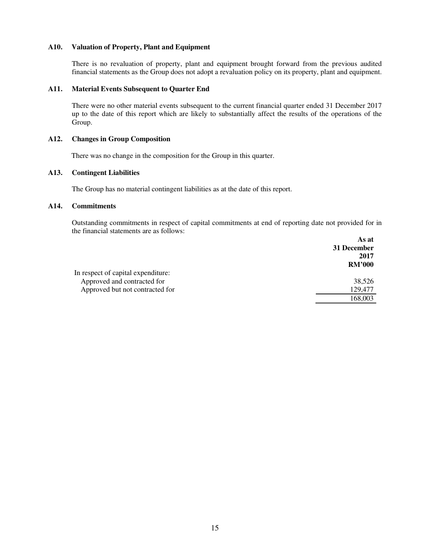## **A10. Valuation of Property, Plant and Equipment**

There is no revaluation of property, plant and equipment brought forward from the previous audited financial statements as the Group does not adopt a revaluation policy on its property, plant and equipment.

## **A11. Material Events Subsequent to Quarter End**

There were no other material events subsequent to the current financial quarter ended 31 December 2017 up to the date of this report which are likely to substantially affect the results of the operations of the Group.

## **A12. Changes in Group Composition**

There was no change in the composition for the Group in this quarter.

#### **A13. Contingent Liabilities**

The Group has no material contingent liabilities as at the date of this report.

## **A14. Commitments**

Outstanding commitments in respect of capital commitments at end of reporting date not provided for in the financial statements are as follows:

|                                    | As at<br>31 December<br>2017 |
|------------------------------------|------------------------------|
|                                    | <b>RM'000</b>                |
| In respect of capital expenditure: |                              |
| Approved and contracted for        | 38,526                       |
| Approved but not contracted for    | 129,477                      |
|                                    | 168,003                      |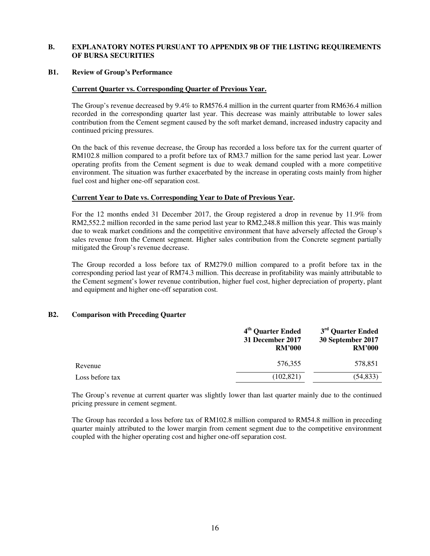## **B. EXPLANATORY NOTES PURSUANT TO APPENDIX 9B OF THE LISTING REQUIREMENTS OF BURSA SECURITIES**

#### **B1. Review of Group's Performance**

#### **Current Quarter vs. Corresponding Quarter of Previous Year.**

The Group's revenue decreased by 9.4% to RM576.4 million in the current quarter from RM636.4 million recorded in the corresponding quarter last year. This decrease was mainly attributable to lower sales contribution from the Cement segment caused by the soft market demand, increased industry capacity and continued pricing pressures.

On the back of this revenue decrease, the Group has recorded a loss before tax for the current quarter of RM102.8 million compared to a profit before tax of RM3.7 million for the same period last year. Lower operating profits from the Cement segment is due to weak demand coupled with a more competitive environment. The situation was further exacerbated by the increase in operating costs mainly from higher fuel cost and higher one-off separation cost.

## **Current Year to Date vs. Corresponding Year to Date of Previous Year.**

For the 12 months ended 31 December 2017, the Group registered a drop in revenue by 11.9% from RM2,552.2 million recorded in the same period last year to RM2,248.8 million this year. This was mainly due to weak market conditions and the competitive environment that have adversely affected the Group's sales revenue from the Cement segment. Higher sales contribution from the Concrete segment partially mitigated the Group's revenue decrease.

The Group recorded a loss before tax of RM279.0 million compared to a profit before tax in the corresponding period last year of RM74.3 million. This decrease in profitability was mainly attributable to the Cement segment's lower revenue contribution, higher fuel cost, higher depreciation of property, plant and equipment and higher one-off separation cost.

## **B2. Comparison with Preceding Quarter**

|                 | 4 <sup>th</sup> Quarter Ended<br>31 December 2017<br><b>RM'000</b> | 3 <sup>rd</sup> Quarter Ended<br>30 September 2017<br><b>RM'000</b> |
|-----------------|--------------------------------------------------------------------|---------------------------------------------------------------------|
| Revenue         | 576.355                                                            | 578,851                                                             |
| Loss before tax | (102, 821)                                                         | (54, 833)                                                           |

The Group's revenue at current quarter was slightly lower than last quarter mainly due to the continued pricing pressure in cement segment.

The Group has recorded a loss before tax of RM102.8 million compared to RM54.8 million in preceding quarter mainly attributed to the lower margin from cement segment due to the competitive environment coupled with the higher operating cost and higher one-off separation cost.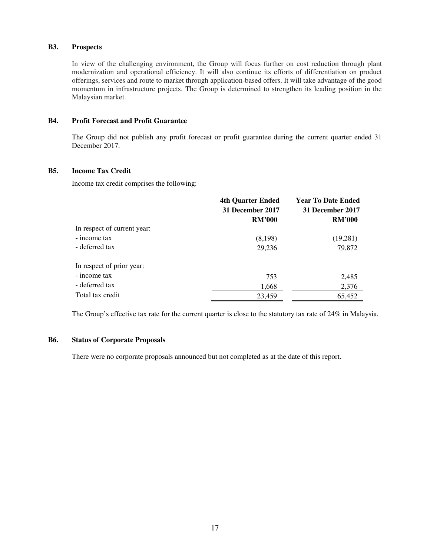## **B3. Prospects**

In view of the challenging environment, the Group will focus further on cost reduction through plant modernization and operational efficiency. It will also continue its efforts of differentiation on product offerings, services and route to market through application-based offers. It will take advantage of the good momentum in infrastructure projects. The Group is determined to strengthen its leading position in the Malaysian market.

## **B4. Profit Forecast and Profit Guarantee**

The Group did not publish any profit forecast or profit guarantee during the current quarter ended 31 December 2017.

## **B5. Income Tax Credit**

Income tax credit comprises the following:

|                             | <b>4th Quarter Ended</b> | <b>Year To Date Ended</b><br>31 December 2017 |  |
|-----------------------------|--------------------------|-----------------------------------------------|--|
|                             | 31 December 2017         |                                               |  |
|                             | <b>RM'000</b>            | <b>RM'000</b>                                 |  |
| In respect of current year: |                          |                                               |  |
| - income tax                | (8,198)                  | (19,281)                                      |  |
| - deferred tax              | 29,236                   | 79,872                                        |  |
| In respect of prior year:   |                          |                                               |  |
| - income tax                | 753                      | 2,485                                         |  |
| - deferred tax              | 1,668                    | 2,376                                         |  |
| Total tax credit            | 23,459                   | 65,452                                        |  |

The Group's effective tax rate for the current quarter is close to the statutory tax rate of 24% in Malaysia.

## **B6. Status of Corporate Proposals**

There were no corporate proposals announced but not completed as at the date of this report.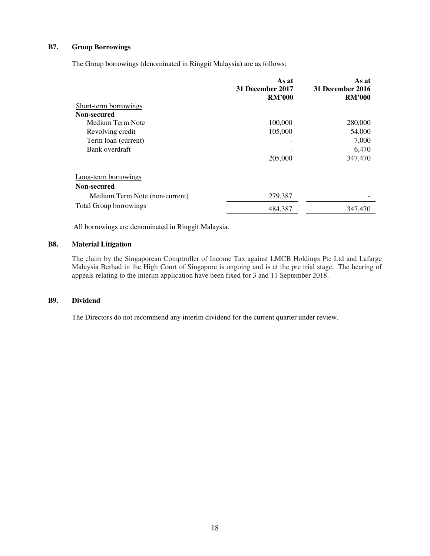## **B7. Group Borrowings**

The Group borrowings (denominated in Ringgit Malaysia) are as follows:

|                                | As at<br>31 December 2017 | As at<br>31 December 2016 |
|--------------------------------|---------------------------|---------------------------|
|                                | <b>RM'000</b>             | <b>RM'000</b>             |
| Short-term borrowings          |                           |                           |
| Non-secured                    |                           |                           |
| Medium Term Note               | 100,000                   | 280,000                   |
| Revolving credit               | 105,000                   | 54,000                    |
| Term loan (current)            |                           | 7,000                     |
| Bank overdraft                 |                           | 6,470                     |
|                                | 205,000                   | 347,470                   |
| Long-term borrowings           |                           |                           |
| Non-secured                    |                           |                           |
| Medium Term Note (non-current) | 279,387                   |                           |
| <b>Total Group borrowings</b>  | 484,387                   | 347,470                   |

All borrowings are denominated in Ringgit Malaysia.

# **B8. Material Litigation**

The claim by the Singaporean Comptroller of Income Tax against LMCB Holdings Pte Ltd and Lafarge Malaysia Berhad in the High Court of Singapore is ongoing and is at the pre trial stage. The hearing of appeals relating to the interim application have been fixed for 3 and 11 September 2018.

## **B9. Dividend**

The Directors do not recommend any interim dividend for the current quarter under review.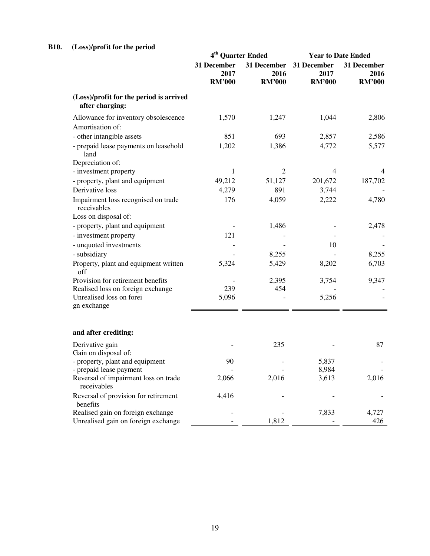# **B10. (Loss)/profit for the period**

|                                                                            | 4 <sup>th</sup> Quarter Ended        |                                      | <b>Year to Date Ended</b>            |                                      |
|----------------------------------------------------------------------------|--------------------------------------|--------------------------------------|--------------------------------------|--------------------------------------|
|                                                                            | 31 December<br>2017<br><b>RM'000</b> | 31 December<br>2016<br><b>RM'000</b> | 31 December<br>2017<br><b>RM'000</b> | 31 December<br>2016<br><b>RM'000</b> |
| (Loss)/profit for the period is arrived<br>after charging:                 |                                      |                                      |                                      |                                      |
| Allowance for inventory obsolescence<br>Amortisation of:                   | 1,570                                | 1,247                                | 1,044                                | 2,806                                |
| - other intangible assets                                                  | 851                                  | 693                                  | 2,857                                | 2,586                                |
| - prepaid lease payments on leasehold<br>land                              | 1,202                                | 1,386                                | 4,772                                | 5,577                                |
| Depreciation of:                                                           |                                      |                                      |                                      |                                      |
| - investment property                                                      | 1                                    | $\overline{2}$                       | 4                                    | 4                                    |
| - property, plant and equipment                                            | 49,212                               | 51,127                               | 201,672                              | 187,702                              |
| Derivative loss                                                            | 4,279                                | 891                                  | 3,744                                |                                      |
| Impairment loss recognised on trade<br>receivables<br>Loss on disposal of: | 176                                  | 4,059                                | 2,222                                | 4,780                                |
| - property, plant and equipment                                            |                                      | 1,486                                |                                      | 2,478                                |
| - investment property                                                      | 121                                  |                                      |                                      |                                      |
| - unquoted investments                                                     |                                      |                                      | 10                                   |                                      |
| - subsidiary                                                               |                                      | 8,255                                |                                      | 8,255                                |
| Property, plant and equipment written<br>off                               | 5,324                                | 5,429                                | 8,202                                | 6,703                                |
| Provision for retirement benefits                                          |                                      | 2,395                                | 3,754                                | 9,347                                |
| Realised loss on foreign exchange                                          | 239                                  | 454                                  |                                      |                                      |
| Unrealised loss on forei<br>gn exchange                                    | 5,096                                |                                      | 5,256                                |                                      |
| and after crediting:                                                       |                                      |                                      |                                      |                                      |
| Derivative gain<br>Gain on disposal of:                                    |                                      | 235                                  |                                      | 87                                   |
| - property, plant and equipment                                            | 90                                   |                                      | 5,837                                |                                      |
| - prepaid lease payment                                                    |                                      |                                      | 8,984                                |                                      |
| Reversal of impairment loss on trade<br>receivables                        | 2,066                                | 2,016                                | 3,613                                | 2,016                                |
| Reversal of provision for retirement<br>benefits                           | 4,416                                |                                      |                                      |                                      |
| Realised gain on foreign exchange                                          |                                      |                                      | 7,833                                | 4,727                                |
| Unrealised gain on foreign exchange                                        |                                      | 1,812                                |                                      | 426                                  |